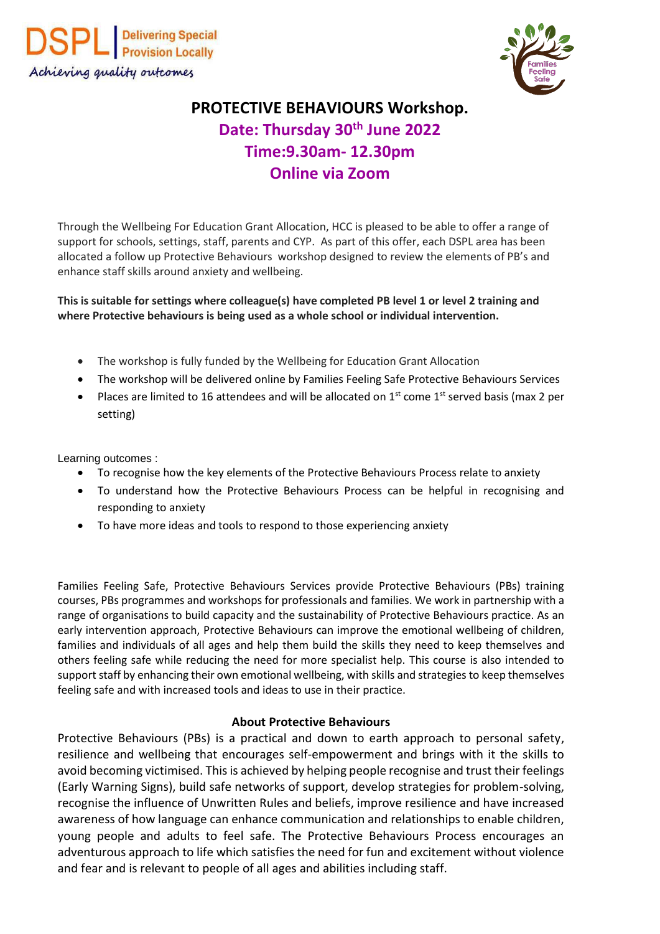



## **PROTECTIVE BEHAVIOURS Workshop. Date: Thursday 30th June 2022 Time:9.30am- 12.30pm Online via Zoom**

Through the Wellbeing For Education Grant Allocation, HCC is pleased to be able to offer a range of support for schools, settings, staff, parents and CYP. As part of this offer, each DSPL area has been allocated a follow up Protective Behaviours workshop designed to review the elements of PB's and enhance staff skills around anxiety and wellbeing.

**This is suitable for settings where colleague(s) have completed PB level 1 or level 2 training and where Protective behaviours is being used as a whole school or individual intervention.**

- The workshop is fully funded by the Wellbeing for Education Grant Allocation
- The workshop will be delivered online by Families Feeling Safe Protective Behaviours Services
- Places are limited to 16 attendees and will be allocated on  $1<sup>st</sup>$  come  $1<sup>st</sup>$  served basis (max 2 per setting)

Learning outcomes :

- To recognise how the key elements of the Protective Behaviours Process relate to anxiety
- To understand how the Protective Behaviours Process can be helpful in recognising and responding to anxiety
- To have more ideas and tools to respond to those experiencing anxiety

Families Feeling Safe, Protective Behaviours Services provide Protective Behaviours (PBs) training courses, PBs programmes and workshops for professionals and families. We work in partnership with a range of organisations to build capacity and the sustainability of Protective Behaviours practice. As an early intervention approach, Protective Behaviours can improve the emotional wellbeing of children, families and individuals of all ages and help them build the skills they need to keep themselves and others feeling safe while reducing the need for more specialist help. This course is also intended to support staff by enhancing their own emotional wellbeing, with skills and strategies to keep themselves feeling safe and with increased tools and ideas to use in their practice.

## **About Protective Behaviours**

Protective Behaviours (PBs) is a practical and down to earth approach to personal safety, resilience and wellbeing that encourages self-empowerment and brings with it the skills to avoid becoming victimised. This is achieved by helping people recognise and trust their feelings (Early Warning Signs), build safe networks of support, develop strategies for problem-solving, recognise the influence of Unwritten Rules and beliefs, improve resilience and have increased awareness of how language can enhance communication and relationships to enable children, young people and adults to feel safe. The Protective Behaviours Process encourages an adventurous approach to life which satisfies the need for fun and excitement without violence and fear and is relevant to people of all ages and abilities including staff.